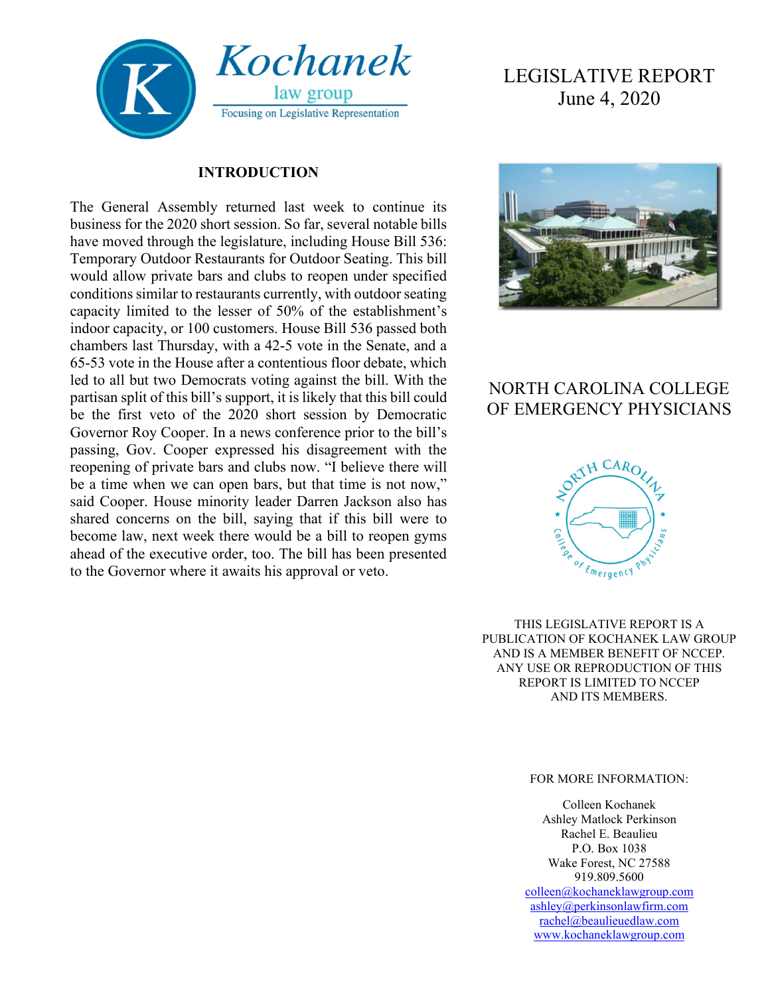

#### **INTRODUCTION**

The General Assembly returned last week to continue its business for the 2020 short session. So far, several notable bills have moved through the legislature, including House Bill 536: Temporary Outdoor Restaurants for Outdoor Seating. This bill would allow private bars and clubs to reopen under specified conditions similar to restaurants currently, with outdoor seating capacity limited to the lesser of 50% of the establishment's indoor capacity, or 100 customers. House Bill 536 passed both chambers last Thursday, with a 42-5 vote in the Senate, and a 65-53 vote in the House after a contentious floor debate, which led to all but two Democrats voting against the bill. With the partisan split of this bill's support, it is likely that this bill could be the first veto of the 2020 short session by Democratic Governor Roy Cooper. In a news conference prior to the bill's passing, Gov. Cooper expressed his disagreement with the reopening of private bars and clubs now. "I believe there will be a time when we can open bars, but that time is not now," said Cooper. House minority leader Darren Jackson also has shared concerns on the bill, saying that if this bill were to become law, next week there would be a bill to reopen gyms ahead of the executive order, too. The bill has been presented to the Governor where it awaits his approval or veto.

# LEGISLATIVE REPORT June 4, 2020



## NORTH CAROLINA COLLEGE OF EMERGENCY PHYSICIANS



THIS LEGISLATIVE REPORT IS A PUBLICATION OF KOCHANEK LAW GROUP AND IS A MEMBER BENEFIT OF NCCEP. ANY USE OR REPRODUCTION OF THIS REPORT IS LIMITED TO NCCEP AND ITS MEMBERS.

#### FOR MORE INFORMATION:

Colleen Kochanek Ashley Matlock Perkinson Rachel E. Beaulieu P.O. Box 1038 Wake Forest, NC 27588 919.809.5600 [colleen@kochaneklawgroup.com](mailto:colleen@kochaneklawgroup.com)

[ashley@perkinsonlawfirm.com](mailto:ashley@perkinsonlawfirm.com) [rachel@beaulieuedlaw.com](mailto:rachel@beaulieuedlaw.com) [www.kochaneklawgroup.com](http://www.kochaneklawgroup.com/)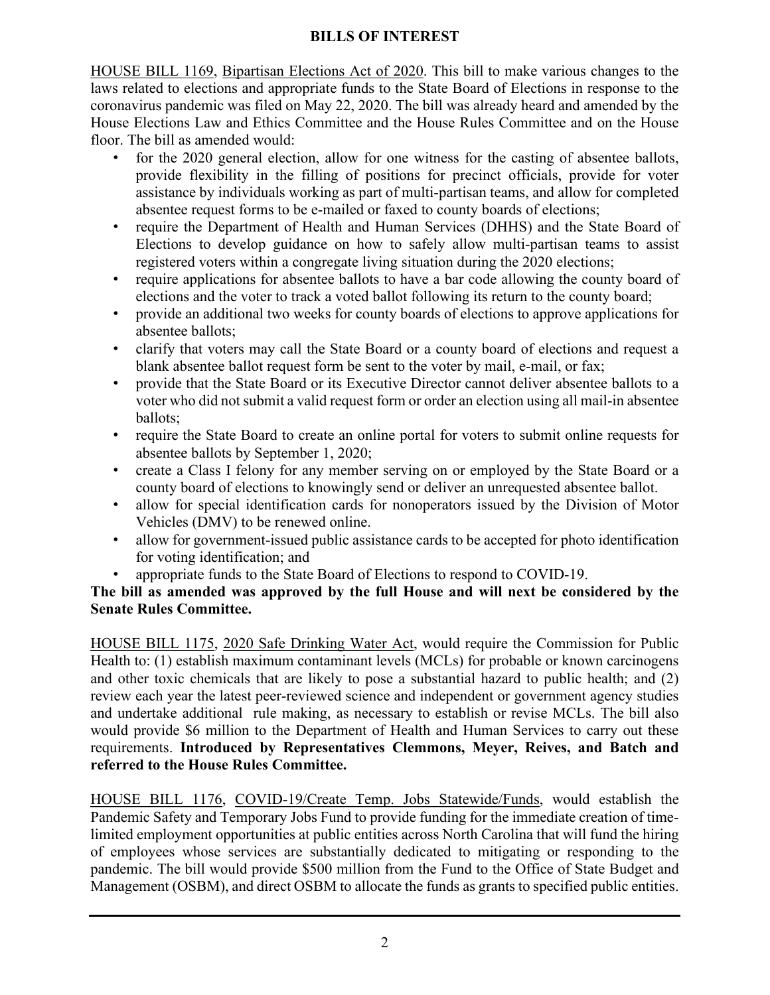### **BILLS OF INTEREST**

HOUSE BILL 1169, Bipartisan Elections Act of 2020. This bill to make various changes to the laws related to elections and appropriate funds to the State Board of Elections in response to the coronavirus pandemic was filed on May 22, 2020. The bill was already heard and amended by the House Elections Law and Ethics Committee and the House Rules Committee and on the House floor. The bill as amended would:

- for the 2020 general election, allow for one witness for the casting of absentee ballots, provide flexibility in the filling of positions for precinct officials, provide for voter assistance by individuals working as part of multi-partisan teams, and allow for completed absentee request forms to be e-mailed or faxed to county boards of elections;
- require the Department of Health and Human Services (DHHS) and the State Board of Elections to develop guidance on how to safely allow multi-partisan teams to assist registered voters within a congregate living situation during the 2020 elections;
- require applications for absentee ballots to have a bar code allowing the county board of elections and the voter to track a voted ballot following its return to the county board;
- provide an additional two weeks for county boards of elections to approve applications for absentee ballots;
- clarify that voters may call the State Board or a county board of elections and request a blank absentee ballot request form be sent to the voter by mail, e-mail, or fax;
- provide that the State Board or its Executive Director cannot deliver absentee ballots to a voter who did not submit a valid request form or order an election using all mail-in absentee ballots;
- require the State Board to create an online portal for voters to submit online requests for absentee ballots by September 1, 2020;
- create a Class I felony for any member serving on or employed by the State Board or a county board of elections to knowingly send or deliver an unrequested absentee ballot.
- allow for special identification cards for nonoperators issued by the Division of Motor Vehicles (DMV) to be renewed online.
- allow for government-issued public assistance cards to be accepted for photo identification for voting identification; and
- appropriate funds to the State Board of Elections to respond to COVID-19.

### **The bill as amended was approved by the full House and will next be considered by the Senate Rules Committee.**

HOUSE BILL 1175, 2020 Safe Drinking Water Act, would require the Commission for Public Health to: (1) establish maximum contaminant levels (MCLs) for probable or known carcinogens and other toxic chemicals that are likely to pose a substantial hazard to public health; and (2) review each year the latest peer-reviewed science and independent or government agency studies and undertake additional rule making, as necessary to establish or revise MCLs. The bill also would provide \$6 million to the Department of Health and Human Services to carry out these requirements. **Introduced by Representatives Clemmons, Meyer, Reives, and Batch and referred to the House Rules Committee.**

HOUSE BILL 1176, COVID-19/Create Temp. Jobs Statewide/Funds, would establish the Pandemic Safety and Temporary Jobs Fund to provide funding for the immediate creation of timelimited employment opportunities at public entities across North Carolina that will fund the hiring of employees whose services are substantially dedicated to mitigating or responding to the pandemic. The bill would provide \$500 million from the Fund to the Office of State Budget and Management (OSBM), and direct OSBM to allocate the funds as grants to specified public entities.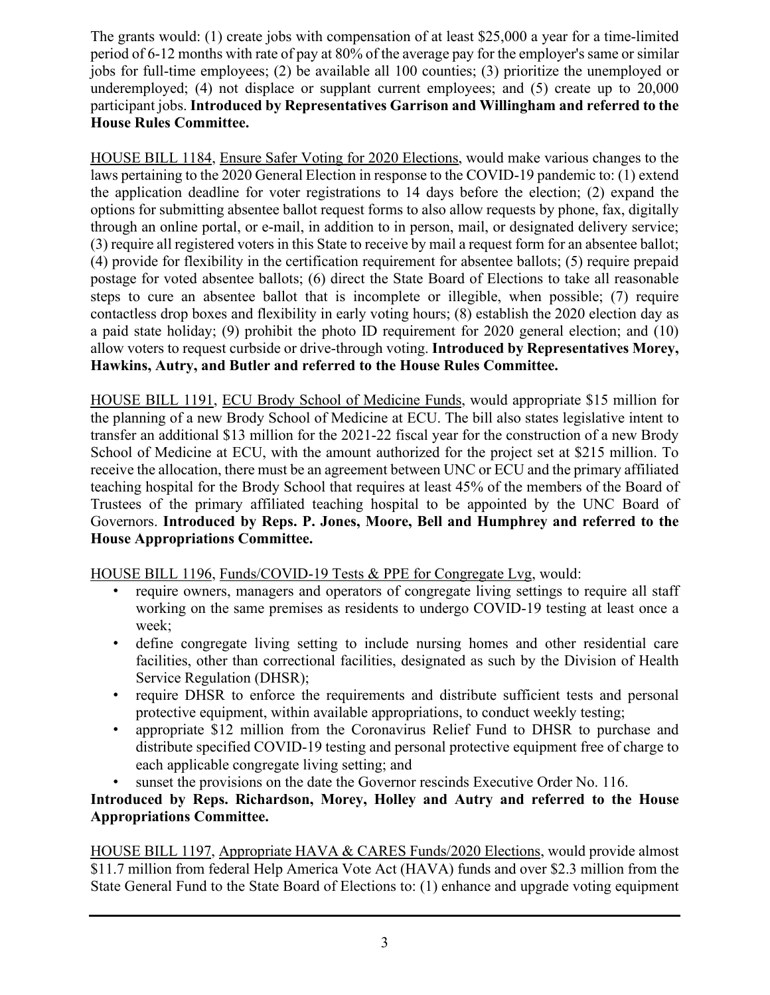The grants would: (1) create jobs with compensation of at least \$25,000 a year for a time-limited period of 6-12 months with rate of pay at 80% of the average pay for the employer's same or similar jobs for full-time employees; (2) be available all 100 counties; (3) prioritize the unemployed or underemployed; (4) not displace or supplant current employees; and (5) create up to 20,000 participant jobs. **Introduced by Representatives Garrison and Willingham and referred to the House Rules Committee.**

HOUSE BILL 1184, Ensure Safer Voting for 2020 Elections, would make various changes to the laws pertaining to the 2020 General Election in response to the COVID-19 pandemic to: (1) extend the application deadline for voter registrations to 14 days before the election; (2) expand the options for submitting absentee ballot request forms to also allow requests by phone, fax, digitally through an online portal, or e-mail, in addition to in person, mail, or designated delivery service; (3) require all registered voters in this State to receive by mail a request form for an absentee ballot; (4) provide for flexibility in the certification requirement for absentee ballots; (5) require prepaid postage for voted absentee ballots; (6) direct the State Board of Elections to take all reasonable steps to cure an absentee ballot that is incomplete or illegible, when possible; (7) require contactless drop boxes and flexibility in early voting hours; (8) establish the 2020 election day as a paid state holiday; (9) prohibit the photo ID requirement for 2020 general election; and (10) allow voters to request curbside or drive-through voting. **Introduced by Representatives Morey, Hawkins, Autry, and Butler and referred to the House Rules Committee.**

HOUSE BILL 1191, ECU Brody School of Medicine Funds, would appropriate \$15 million for the planning of a new Brody School of Medicine at ECU. The bill also states legislative intent to transfer an additional \$13 million for the 2021-22 fiscal year for the construction of a new Brody School of Medicine at ECU, with the amount authorized for the project set at \$215 million. To receive the allocation, there must be an agreement between UNC or ECU and the primary affiliated teaching hospital for the Brody School that requires at least 45% of the members of the Board of Trustees of the primary affiliated teaching hospital to be appointed by the UNC Board of Governors. **Introduced by Reps. P. Jones, Moore, Bell and Humphrey and referred to the House Appropriations Committee.**

HOUSE BILL 1196, Funds/COVID-19 Tests & PPE for Congregate Lvg, would:

- require owners, managers and operators of congregate living settings to require all staff working on the same premises as residents to undergo COVID-19 testing at least once a week;
- define congregate living setting to include nursing homes and other residential care facilities, other than correctional facilities, designated as such by the Division of Health Service Regulation (DHSR);
- require DHSR to enforce the requirements and distribute sufficient tests and personal protective equipment, within available appropriations, to conduct weekly testing;
- appropriate \$12 million from the Coronavirus Relief Fund to DHSR to purchase and distribute specified COVID-19 testing and personal protective equipment free of charge to each applicable congregate living setting; and
- sunset the provisions on the date the Governor rescinds Executive Order No. 116.

**Introduced by Reps. Richardson, Morey, Holley and Autry and referred to the House Appropriations Committee.**

HOUSE BILL 1197, Appropriate HAVA & CARES Funds/2020 Elections, would provide almost \$11.7 million from federal Help America Vote Act (HAVA) funds and over \$2.3 million from the State General Fund to the State Board of Elections to: (1) enhance and upgrade voting equipment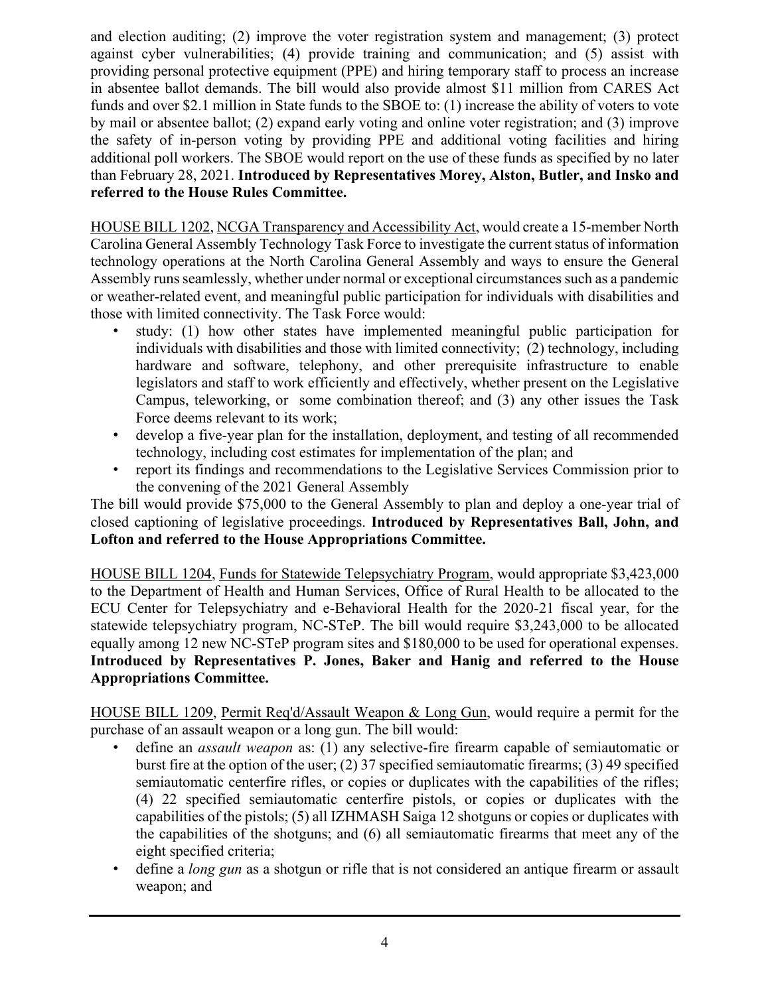and election auditing; (2) improve the voter registration system and management; (3) protect against cyber vulnerabilities; (4) provide training and communication; and (5) assist with providing personal protective equipment (PPE) and hiring temporary staff to process an increase in absentee ballot demands. The bill would also provide almost \$11 million from CARES Act funds and over \$2.1 million in State funds to the SBOE to: (1) increase the ability of voters to vote by mail or absentee ballot; (2) expand early voting and online voter registration; and (3) improve the safety of in-person voting by providing PPE and additional voting facilities and hiring additional poll workers. The SBOE would report on the use of these funds as specified by no later than February 28, 2021. **Introduced by Representatives Morey, Alston, Butler, and Insko and referred to the House Rules Committee.**

HOUSE BILL 1202, NCGA Transparency and Accessibility Act, would create a 15-member North Carolina General Assembly Technology Task Force to investigate the current status of information technology operations at the North Carolina General Assembly and ways to ensure the General Assembly runs seamlessly, whether under normal or exceptional circumstances such as a pandemic or weather-related event, and meaningful public participation for individuals with disabilities and those with limited connectivity. The Task Force would:

- study: (1) how other states have implemented meaningful public participation for individuals with disabilities and those with limited connectivity; (2) technology, including hardware and software, telephony, and other prerequisite infrastructure to enable legislators and staff to work efficiently and effectively, whether present on the Legislative Campus, teleworking, or some combination thereof; and (3) any other issues the Task Force deems relevant to its work;
- develop a five-year plan for the installation, deployment, and testing of all recommended technology, including cost estimates for implementation of the plan; and
- report its findings and recommendations to the Legislative Services Commission prior to the convening of the 2021 General Assembly

The bill would provide \$75,000 to the General Assembly to plan and deploy a one-year trial of closed captioning of legislative proceedings. **Introduced by Representatives Ball, John, and Lofton and referred to the House Appropriations Committee.**

HOUSE BILL 1204, Funds for Statewide Telepsychiatry Program, would appropriate \$3,423,000 to the Department of Health and Human Services, Office of Rural Health to be allocated to the ECU Center for Telepsychiatry and e-Behavioral Health for the 2020-21 fiscal year, for the statewide telepsychiatry program, NC-STeP. The bill would require \$3,243,000 to be allocated equally among 12 new NC-STeP program sites and \$180,000 to be used for operational expenses. **Introduced by Representatives P. Jones, Baker and Hanig and referred to the House Appropriations Committee.**

HOUSE BILL 1209, Permit Req'd/Assault Weapon & Long Gun, would require a permit for the purchase of an assault weapon or a long gun. The bill would:

- define an *assault weapon* as: (1) any selective-fire firearm capable of semiautomatic or burst fire at the option of the user; (2) 37 specified semiautomatic firearms; (3) 49 specified semiautomatic centerfire rifles, or copies or duplicates with the capabilities of the rifles; (4) 22 specified semiautomatic centerfire pistols, or copies or duplicates with the capabilities of the pistols; (5) all IZHMASH Saiga 12 shotguns or copies or duplicates with the capabilities of the shotguns; and (6) all semiautomatic firearms that meet any of the eight specified criteria;
- define a *long gun* as a shotgun or rifle that is not considered an antique firearm or assault weapon; and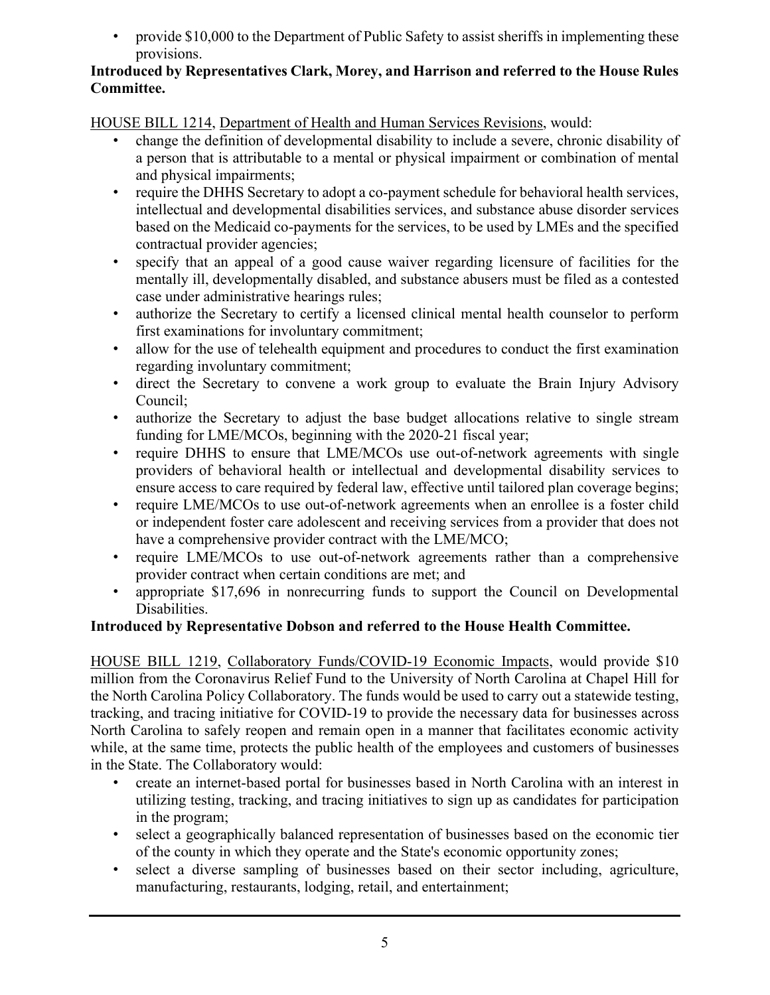• provide \$10,000 to the Department of Public Safety to assist sheriffs in implementing these provisions.

### **Introduced by Representatives Clark, Morey, and Harrison and referred to the House Rules Committee.**

HOUSE BILL 1214, Department of Health and Human Services Revisions, would:

- change the definition of developmental disability to include a severe, chronic disability of a person that is attributable to a mental or physical impairment or combination of mental and physical impairments;
- require the DHHS Secretary to adopt a co-payment schedule for behavioral health services, intellectual and developmental disabilities services, and substance abuse disorder services based on the Medicaid co-payments for the services, to be used by LMEs and the specified contractual provider agencies;
- specify that an appeal of a good cause waiver regarding licensure of facilities for the mentally ill, developmentally disabled, and substance abusers must be filed as a contested case under administrative hearings rules;
- authorize the Secretary to certify a licensed clinical mental health counselor to perform first examinations for involuntary commitment;
- allow for the use of telehealth equipment and procedures to conduct the first examination regarding involuntary commitment;
- direct the Secretary to convene a work group to evaluate the Brain Injury Advisory Council;
- authorize the Secretary to adjust the base budget allocations relative to single stream funding for LME/MCOs, beginning with the 2020-21 fiscal year;
- require DHHS to ensure that LME/MCOs use out-of-network agreements with single providers of behavioral health or intellectual and developmental disability services to ensure access to care required by federal law, effective until tailored plan coverage begins;
- require LME/MCOs to use out-of-network agreements when an enrollee is a foster child or independent foster care adolescent and receiving services from a provider that does not have a comprehensive provider contract with the LME/MCO;
- require LME/MCOs to use out-of-network agreements rather than a comprehensive provider contract when certain conditions are met; and
- appropriate \$17,696 in nonrecurring funds to support the Council on Developmental Disabilities.

### **Introduced by Representative Dobson and referred to the House Health Committee.**

HOUSE BILL 1219, Collaboratory Funds/COVID-19 Economic Impacts, would provide \$10 million from the Coronavirus Relief Fund to the University of North Carolina at Chapel Hill for the North Carolina Policy Collaboratory. The funds would be used to carry out a statewide testing, tracking, and tracing initiative for COVID-19 to provide the necessary data for businesses across North Carolina to safely reopen and remain open in a manner that facilitates economic activity while, at the same time, protects the public health of the employees and customers of businesses in the State. The Collaboratory would:

- create an internet-based portal for businesses based in North Carolina with an interest in utilizing testing, tracking, and tracing initiatives to sign up as candidates for participation in the program;
- select a geographically balanced representation of businesses based on the economic tier of the county in which they operate and the State's economic opportunity zones;
- select a diverse sampling of businesses based on their sector including, agriculture, manufacturing, restaurants, lodging, retail, and entertainment;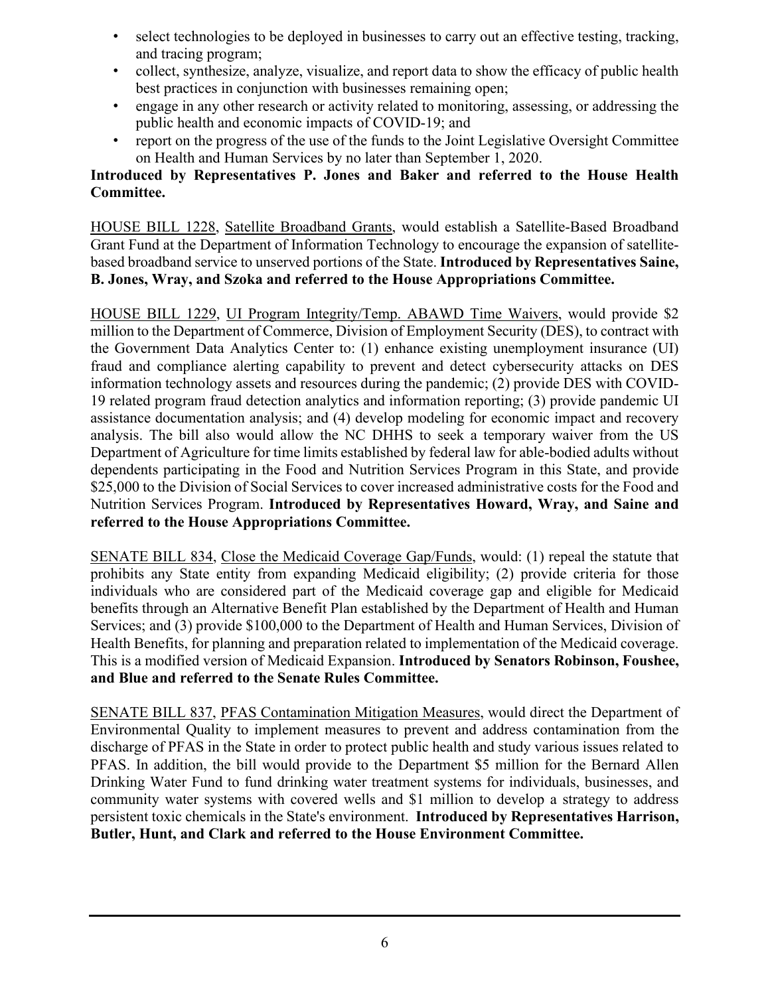- select technologies to be deployed in businesses to carry out an effective testing, tracking, and tracing program;
- collect, synthesize, analyze, visualize, and report data to show the efficacy of public health best practices in conjunction with businesses remaining open;
- engage in any other research or activity related to monitoring, assessing, or addressing the public health and economic impacts of COVID-19; and
- report on the progress of the use of the funds to the Joint Legislative Oversight Committee on Health and Human Services by no later than September 1, 2020.

### **Introduced by Representatives P. Jones and Baker and referred to the House Health Committee.**

HOUSE BILL 1228, Satellite Broadband Grants, would establish a Satellite-Based Broadband Grant Fund at the Department of Information Technology to encourage the expansion of satellitebased broadband service to unserved portions of the State. **Introduced by Representatives Saine, B. Jones, Wray, and Szoka and referred to the House Appropriations Committee.**

HOUSE BILL 1229, UI Program Integrity/Temp. ABAWD Time Waivers, would provide \$2 million to the Department of Commerce, Division of Employment Security (DES), to contract with the Government Data Analytics Center to: (1) enhance existing unemployment insurance (UI) fraud and compliance alerting capability to prevent and detect cybersecurity attacks on DES information technology assets and resources during the pandemic; (2) provide DES with COVID-19 related program fraud detection analytics and information reporting; (3) provide pandemic UI assistance documentation analysis; and (4) develop modeling for economic impact and recovery analysis. The bill also would allow the NC DHHS to seek a temporary waiver from the US Department of Agriculture for time limits established by federal law for able-bodied adults without dependents participating in the Food and Nutrition Services Program in this State, and provide \$25,000 to the Division of Social Services to cover increased administrative costs for the Food and Nutrition Services Program. **Introduced by Representatives Howard, Wray, and Saine and referred to the House Appropriations Committee.**

SENATE BILL 834, Close the Medicaid Coverage Gap/Funds, would: (1) repeal the statute that prohibits any State entity from expanding Medicaid eligibility; (2) provide criteria for those individuals who are considered part of the Medicaid coverage gap and eligible for Medicaid benefits through an Alternative Benefit Plan established by the Department of Health and Human Services; and (3) provide \$100,000 to the Department of Health and Human Services, Division of Health Benefits, for planning and preparation related to implementation of the Medicaid coverage. This is a modified version of Medicaid Expansion. **Introduced by Senators Robinson, Foushee, and Blue and referred to the Senate Rules Committee.**

SENATE BILL 837, PFAS Contamination Mitigation Measures, would direct the Department of Environmental Quality to implement measures to prevent and address contamination from the discharge of PFAS in the State in order to protect public health and study various issues related to PFAS. In addition, the bill would provide to the Department \$5 million for the Bernard Allen Drinking Water Fund to fund drinking water treatment systems for individuals, businesses, and community water systems with covered wells and \$1 million to develop a strategy to address persistent toxic chemicals in the State's environment. **Introduced by Representatives Harrison, Butler, Hunt, and Clark and referred to the House Environment Committee.**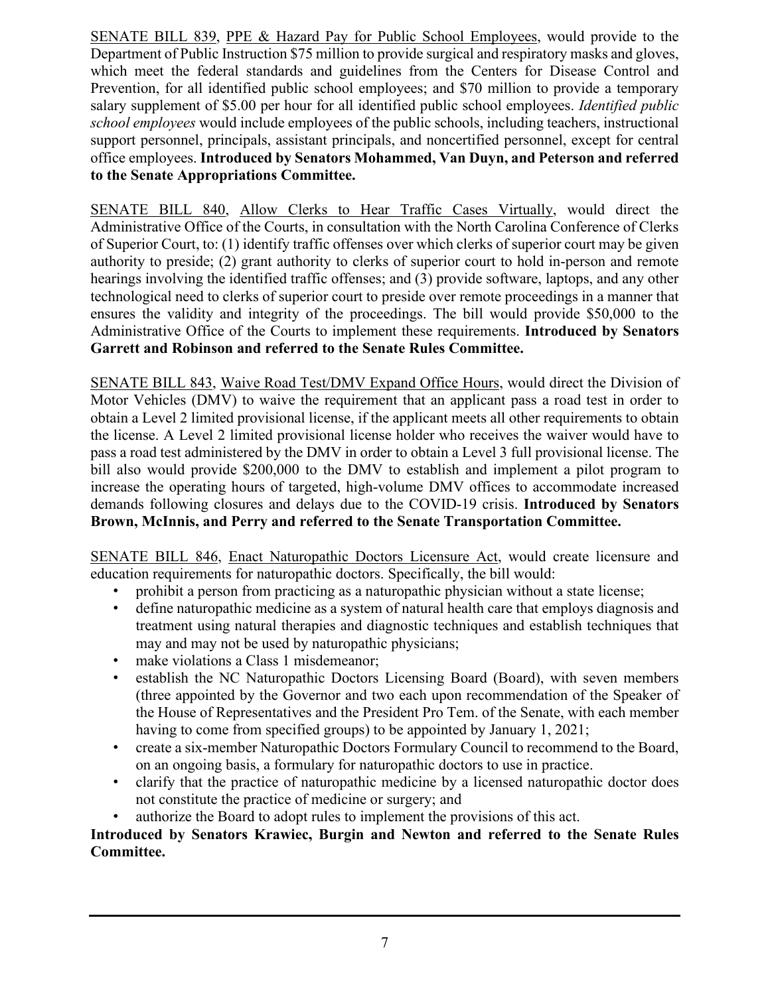SENATE BILL 839, PPE & Hazard Pay for Public School Employees, would provide to the Department of Public Instruction \$75 million to provide surgical and respiratory masks and gloves, which meet the federal standards and guidelines from the Centers for Disease Control and Prevention, for all identified public school employees; and \$70 million to provide a temporary salary supplement of \$5.00 per hour for all identified public school employees. *Identified public school employees* would include employees of the public schools, including teachers, instructional support personnel, principals, assistant principals, and noncertified personnel, except for central office employees. **Introduced by Senators Mohammed, Van Duyn, and Peterson and referred to the Senate Appropriations Committee.**

SENATE BILL 840, Allow Clerks to Hear Traffic Cases Virtually, would direct the Administrative Office of the Courts, in consultation with the North Carolina Conference of Clerks of Superior Court, to: (1) identify traffic offenses over which clerks of superior court may be given authority to preside; (2) grant authority to clerks of superior court to hold in-person and remote hearings involving the identified traffic offenses; and (3) provide software, laptops, and any other technological need to clerks of superior court to preside over remote proceedings in a manner that ensures the validity and integrity of the proceedings. The bill would provide \$50,000 to the Administrative Office of the Courts to implement these requirements. **Introduced by Senators Garrett and Robinson and referred to the Senate Rules Committee.**

SENATE BILL 843, Waive Road Test/DMV Expand Office Hours, would direct the Division of Motor Vehicles (DMV) to waive the requirement that an applicant pass a road test in order to obtain a Level 2 limited provisional license, if the applicant meets all other requirements to obtain the license. A Level 2 limited provisional license holder who receives the waiver would have to pass a road test administered by the DMV in order to obtain a Level 3 full provisional license. The bill also would provide \$200,000 to the DMV to establish and implement a pilot program to increase the operating hours of targeted, high-volume DMV offices to accommodate increased demands following closures and delays due to the COVID-19 crisis. **Introduced by Senators Brown, McInnis, and Perry and referred to the Senate Transportation Committee.**

SENATE BILL 846, Enact Naturopathic Doctors Licensure Act, would create licensure and education requirements for naturopathic doctors. Specifically, the bill would:

- prohibit a person from practicing as a naturopathic physician without a state license;
- define naturopathic medicine as a system of natural health care that employs diagnosis and treatment using natural therapies and diagnostic techniques and establish techniques that may and may not be used by naturopathic physicians;
- make violations a Class 1 misdemeanor;
- establish the NC Naturopathic Doctors Licensing Board (Board), with seven members (three appointed by the Governor and two each upon recommendation of the Speaker of the House of Representatives and the President Pro Tem. of the Senate, with each member having to come from specified groups) to be appointed by January 1, 2021;
- create a six-member Naturopathic Doctors Formulary Council to recommend to the Board, on an ongoing basis, a formulary for naturopathic doctors to use in practice.
- clarify that the practice of naturopathic medicine by a licensed naturopathic doctor does not constitute the practice of medicine or surgery; and
- authorize the Board to adopt rules to implement the provisions of this act.

### **Introduced by Senators Krawiec, Burgin and Newton and referred to the Senate Rules Committee.**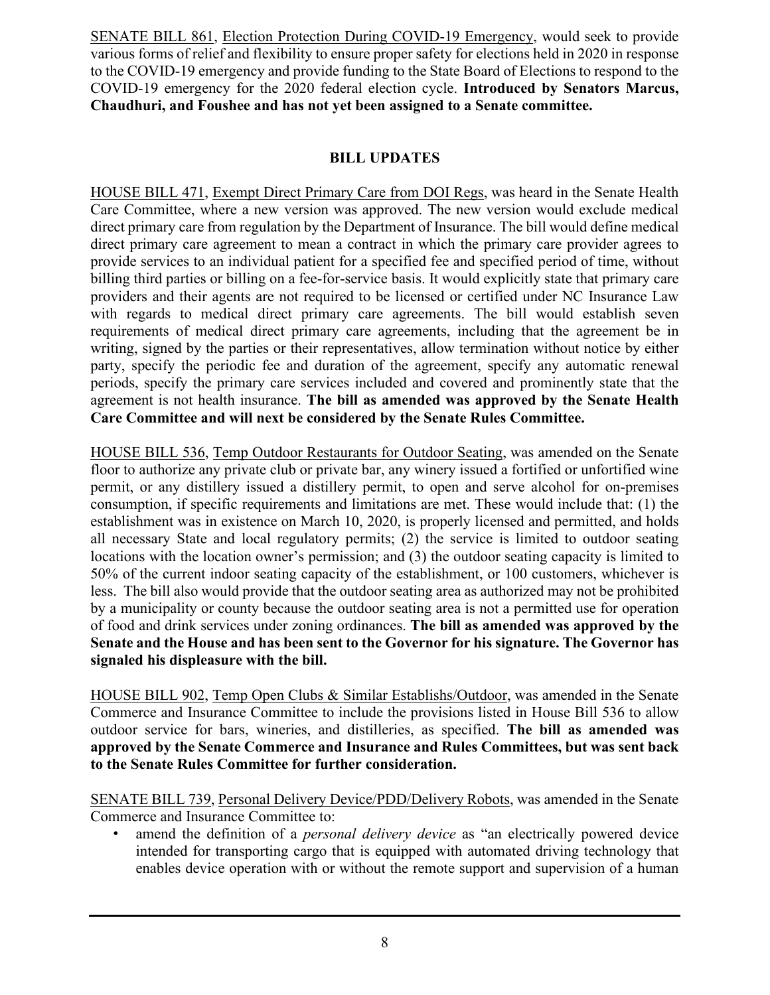SENATE BILL 861, Election Protection During COVID-19 Emergency, would seek to provide various forms of relief and flexibility to ensure proper safety for elections held in 2020 in response to the COVID-19 emergency and provide funding to the State Board of Elections to respond to the COVID-19 emergency for the 2020 federal election cycle. **Introduced by Senators Marcus, Chaudhuri, and Foushee and has not yet been assigned to a Senate committee.**

### **BILL UPDATES**

HOUSE BILL 471, Exempt Direct Primary Care from DOI Regs, was heard in the Senate Health Care Committee, where a new version was approved. The new version would exclude medical direct primary care from regulation by the Department of Insurance. The bill would define medical direct primary care agreement to mean a contract in which the primary care provider agrees to provide services to an individual patient for a specified fee and specified period of time, without billing third parties or billing on a fee-for-service basis. It would explicitly state that primary care providers and their agents are not required to be licensed or certified under NC Insurance Law with regards to medical direct primary care agreements. The bill would establish seven requirements of medical direct primary care agreements, including that the agreement be in writing, signed by the parties or their representatives, allow termination without notice by either party, specify the periodic fee and duration of the agreement, specify any automatic renewal periods, specify the primary care services included and covered and prominently state that the agreement is not health insurance. **The bill as amended was approved by the Senate Health Care Committee and will next be considered by the Senate Rules Committee.**

HOUSE BILL 536, Temp Outdoor Restaurants for Outdoor Seating, was amended on the Senate floor to authorize any private club or private bar, any winery issued a fortified or unfortified wine permit, or any distillery issued a distillery permit, to open and serve alcohol for on-premises consumption, if specific requirements and limitations are met. These would include that: (1) the establishment was in existence on March 10, 2020, is properly licensed and permitted, and holds all necessary State and local regulatory permits; (2) the service is limited to outdoor seating locations with the location owner's permission; and (3) the outdoor seating capacity is limited to 50% of the current indoor seating capacity of the establishment, or 100 customers, whichever is less. The bill also would provide that the outdoor seating area as authorized may not be prohibited by a municipality or county because the outdoor seating area is not a permitted use for operation of food and drink services under zoning ordinances. **The bill as amended was approved by the Senate and the House and has been sent to the Governor for his signature. The Governor has signaled his displeasure with the bill.**

HOUSE BILL 902, Temp Open Clubs & Similar Establishs/Outdoor, was amended in the Senate Commerce and Insurance Committee to include the provisions listed in House Bill 536 to allow outdoor service for bars, wineries, and distilleries, as specified. **The bill as amended was approved by the Senate Commerce and Insurance and Rules Committees, but was sent back to the Senate Rules Committee for further consideration.**

SENATE BILL 739, Personal Delivery Device/PDD/Delivery Robots, was amended in the Senate Commerce and Insurance Committee to:

• amend the definition of a *personal delivery device* as "an electrically powered device intended for transporting cargo that is equipped with automated driving technology that enables device operation with or without the remote support and supervision of a human